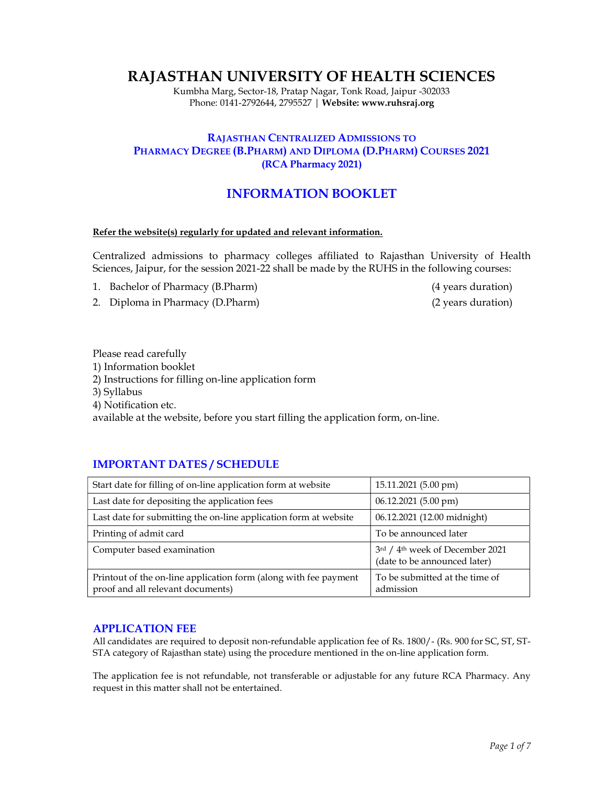# RAJASTHAN UNIVERSITY OF HEALTH SCIENCES

Kumbha Marg, Sector-18, Pratap Nagar, Tonk Road, Jaipur -302033 Phone: 0141-2792644, 2795527 | Website: www.ruhsraj.org

## RAJASTHAN CENTRALIZED ADMISSIONS TO PHARMACY DEGREE (B.PHARM) AND DIPLOMA (D.PHARM) COURSES 2021 (RCA Pharmacy 2021)

## INFORMATION BOOKLET

#### Refer the website(s) regularly for updated and relevant information.

Centralized admissions to pharmacy colleges affiliated to Rajasthan University of Health Sciences, Jaipur, for the session 2021-22 shall be made by the RUHS in the following courses:

- 1. Bachelor of Pharmacy (B.Pharm) (4 years duration)
- 2. Diploma in Pharmacy (D.Pharm) (2 years duration)
- 

Please read carefully

- 1) Information booklet
- 2) Instructions for filling on-line application form
- 3) Syllabus
- 4) Notification etc.

available at the website, before you start filling the application form, on-line.

## IMPORTANT DATES / SCHEDULE

| Start date for filling of on-line application form at website                                         | 15.11.2021 (5.00 pm)                                                        |
|-------------------------------------------------------------------------------------------------------|-----------------------------------------------------------------------------|
| Last date for depositing the application fees                                                         | 06.12.2021 (5.00 pm)                                                        |
| Last date for submitting the on-line application form at website                                      | 06.12.2021 (12.00 midnight)                                                 |
| Printing of admit card                                                                                | To be announced later                                                       |
| Computer based examination                                                                            | 3rd / 4 <sup>th</sup> week of December 2021<br>(date to be announced later) |
| Printout of the on-line application form (along with fee payment<br>proof and all relevant documents) | To be submitted at the time of<br>admission                                 |

## APPLICATION FEE

All candidates are required to deposit non-refundable application fee of Rs. 1800/- (Rs. 900 for SC, ST, ST-STA category of Rajasthan state) using the procedure mentioned in the on-line application form.

The application fee is not refundable, not transferable or adjustable for any future RCA Pharmacy. Any request in this matter shall not be entertained.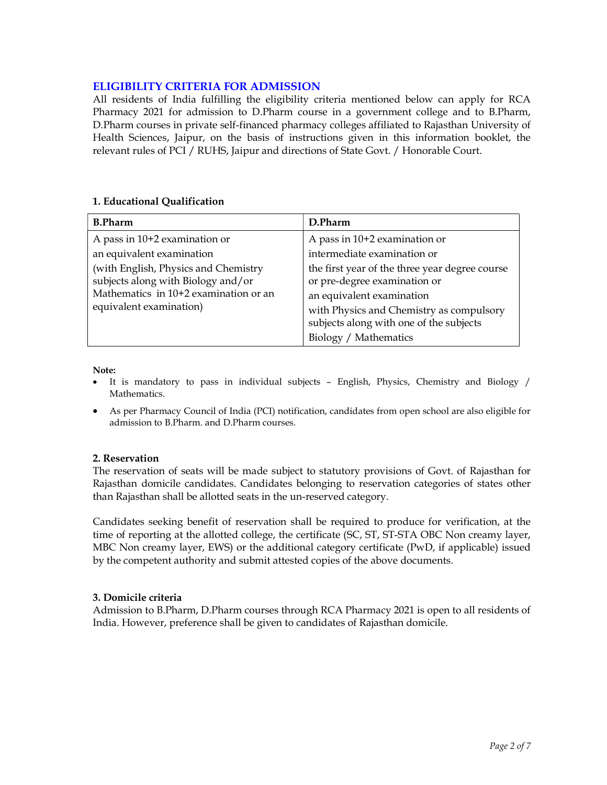## ELIGIBILITY CRITERIA FOR ADMISSION

All residents of India fulfilling the eligibility criteria mentioned below can apply for RCA Pharmacy 2021 for admission to D.Pharm course in a government college and to B.Pharm, D.Pharm courses in private self-financed pharmacy colleges affiliated to Rajasthan University of Health Sciences, Jaipur, on the basis of instructions given in this information booklet, the relevant rules of PCI / RUHS, Jaipur and directions of State Govt. / Honorable Court.

## 1. Educational Qualification

| <b>B.Pharm</b>                        | D.Pharm                                        |
|---------------------------------------|------------------------------------------------|
| A pass in 10+2 examination or         | A pass in $10+2$ examination or                |
| an equivalent examination             | intermediate examination or                    |
| (with English, Physics and Chemistry  | the first year of the three year degree course |
| subjects along with Biology and/or    | or pre-degree examination or                   |
| Mathematics in 10+2 examination or an | an equivalent examination                      |
| equivalent examination)               | with Physics and Chemistry as compulsory       |
|                                       | subjects along with one of the subjects        |
|                                       | Biology / Mathematics                          |

Note:

- It is mandatory to pass in individual subjects English, Physics, Chemistry and Biology / Mathematics.
- As per Pharmacy Council of India (PCI) notification, candidates from open school are also eligible for admission to B.Pharm. and D.Pharm courses.

## 2. Reservation

The reservation of seats will be made subject to statutory provisions of Govt. of Rajasthan for Rajasthan domicile candidates. Candidates belonging to reservation categories of states other than Rajasthan shall be allotted seats in the un-reserved category.

Candidates seeking benefit of reservation shall be required to produce for verification, at the time of reporting at the allotted college, the certificate (SC, ST, ST-STA OBC Non creamy layer, MBC Non creamy layer, EWS) or the additional category certificate (PwD, if applicable) issued by the competent authority and submit attested copies of the above documents.

## 3. Domicile criteria

Admission to B.Pharm, D.Pharm courses through RCA Pharmacy 2021 is open to all residents of India. However, preference shall be given to candidates of Rajasthan domicile.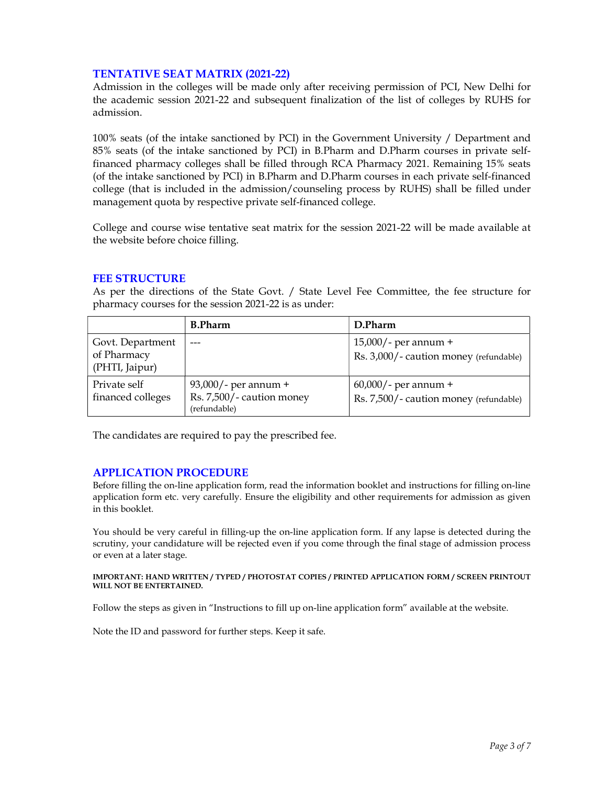## TENTATIVE SEAT MATRIX (2021-22)

Admission in the colleges will be made only after receiving permission of PCI, New Delhi for the academic session 2021-22 and subsequent finalization of the list of colleges by RUHS for admission.

100% seats (of the intake sanctioned by PCI) in the Government University / Department and 85% seats (of the intake sanctioned by PCI) in B.Pharm and D.Pharm courses in private selffinanced pharmacy colleges shall be filled through RCA Pharmacy 2021. Remaining 15% seats (of the intake sanctioned by PCI) in B.Pharm and D.Pharm courses in each private self-financed college (that is included in the admission/counseling process by RUHS) shall be filled under management quota by respective private self-financed college.

College and course wise tentative seat matrix for the session 2021-22 will be made available at the website before choice filling.

## FEE STRUCTURE

As per the directions of the State Govt. / State Level Fee Committee, the fee structure for pharmacy courses for the session 2021-22 is as under:

|                                   | <b>B.Pharm</b>                                                       | D.Pharm                                                           |
|-----------------------------------|----------------------------------------------------------------------|-------------------------------------------------------------------|
| Govt. Department                  |                                                                      | $15,000/$ - per annum +                                           |
| of Pharmacy<br>(PHTI, Jaipur)     |                                                                      | Rs. 3,000/- caution money (refundable)                            |
| Private self<br>financed colleges | $93,000/$ - per annum +<br>Rs. 7,500/- caution money<br>(refundable) | $60,000/$ - per annum +<br>Rs. 7,500/- caution money (refundable) |

The candidates are required to pay the prescribed fee.

## APPLICATION PROCEDURE

Before filling the on-line application form, read the information booklet and instructions for filling on-line application form etc. very carefully. Ensure the eligibility and other requirements for admission as given in this booklet.

You should be very careful in filling-up the on-line application form. If any lapse is detected during the scrutiny, your candidature will be rejected even if you come through the final stage of admission process or even at a later stage.

#### IMPORTANT: HAND WRITTEN / TYPED / PHOTOSTAT COPIES / PRINTED APPLICATION FORM / SCREEN PRINTOUT WILL NOT BE ENTERTAINED.

Follow the steps as given in "Instructions to fill up on-line application form" available at the website.

Note the ID and password for further steps. Keep it safe.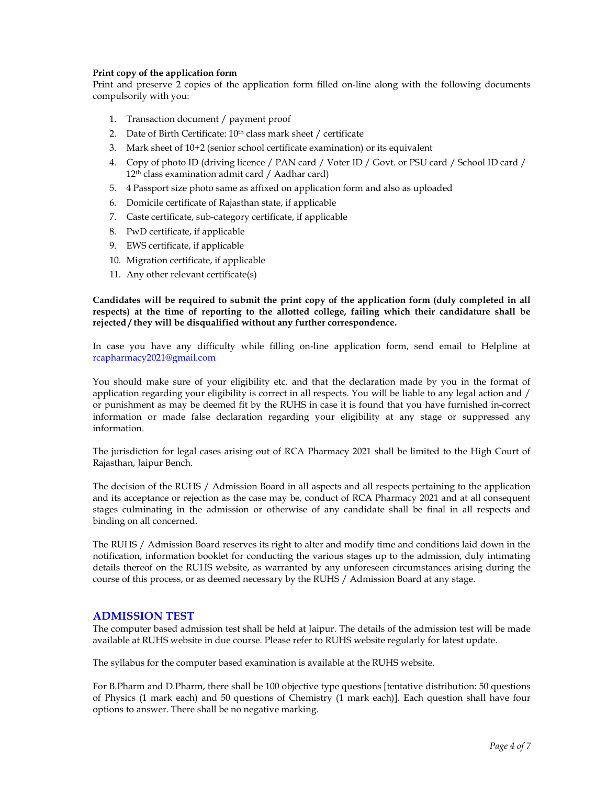#### Print copy of the application form

Print and preserve 2 copies of the application form filled on-line along with the following documents compulsorily with you:

- 1. Transaction document / payment proof
- 2. Date of Birth Certificate:  $10<sup>th</sup>$  class mark sheet / certificate
- 3. Mark sheet of 10+2 (senior school certificate examination) or its equivalent
- 4. Copy of photo ID (driving licence / PAN card / Voter ID / Govt. or PSU card / School ID card / 12th class examination admit card / Aadhar card)
- 5. 4 Passport size photo same as affixed on application form and also as uploaded
- 6. Domicile certificate of Rajasthan state, if applicable
- 7. Caste certificate, sub-category certificate, if applicable
- 8. PwD certificate, if applicable
- 9. EWS certificate, if applicable
- 10. Migration certificate, if applicable
- 11. Any other relevant certificate(s)

#### Candidates will be required to submit the print copy of the application form (duly completed in all respects) at the time of reporting to the allotted college, failing which their candidature shall be rejected / they will be disqualified without any further correspondence.

In case you have any difficulty while filling on-line application form, send email to Helpline at rcapharmacy2021@gmail.com

You should make sure of your eligibility etc. and that the declaration made by you in the format of application regarding your eligibility is correct in all respects. You will be liable to any legal action and / or punishment as may be deemed fit by the RUHS in case it is found that you have furnished in-correct information or made false declaration regarding your eligibility at any stage or suppressed any information.

The jurisdiction for legal cases arising out of RCA Pharmacy 2021 shall be limited to the High Court of Rajasthan, Jaipur Bench.

The decision of the RUHS / Admission Board in all aspects and all respects pertaining to the application and its acceptance or rejection as the case may be, conduct of RCA Pharmacy 2021 and at all consequent stages culminating in the admission or otherwise of any candidate shall be final in all respects and binding on all concerned.

The RUHS / Admission Board reserves its right to alter and modify time and conditions laid down in the notification, information booklet for conducting the various stages up to the admission, duly intimating details thereof on the RUHS website, as warranted by any unforeseen circumstances arising during the course of this process, or as deemed necessary by the RUHS / Admission Board at any stage.

#### ADMISSION TEST

The computer based admission test shall be held at Jaipur. The details of the admission test will be made available at RUHS website in due course. Please refer to RUHS website regularly for latest update.

The syllabus for the computer based examination is available at the RUHS website.

For B.Pharm and D.Pharm, there shall be 100 objective type questions [tentative distribution: 50 questions of Physics (1 mark each) and 50 questions of Chemistry (1 mark each)]. Each question shall have four options to answer. There shall be no negative marking.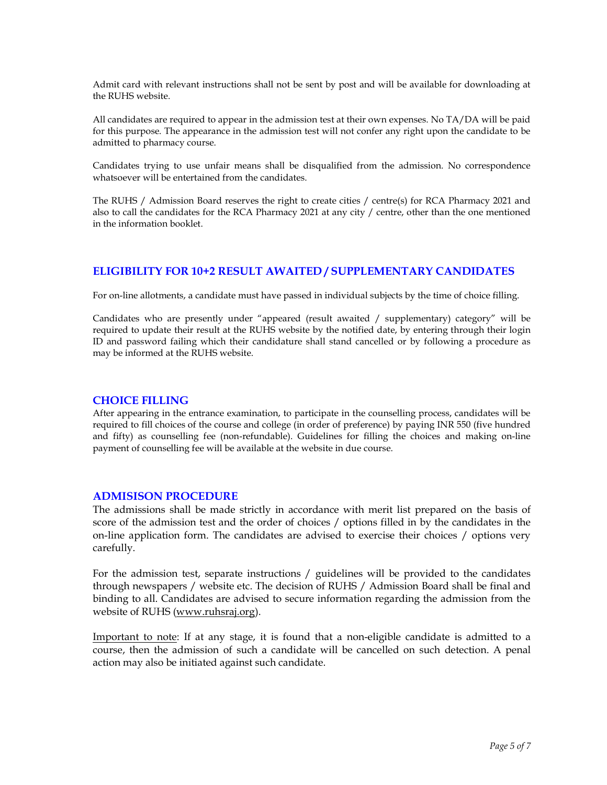Admit card with relevant instructions shall not be sent by post and will be available for downloading at the RUHS website.

All candidates are required to appear in the admission test at their own expenses. No TA/DA will be paid for this purpose. The appearance in the admission test will not confer any right upon the candidate to be admitted to pharmacy course.

Candidates trying to use unfair means shall be disqualified from the admission. No correspondence whatsoever will be entertained from the candidates.

The RUHS / Admission Board reserves the right to create cities / centre(s) for RCA Pharmacy 2021 and also to call the candidates for the RCA Pharmacy 2021 at any city / centre, other than the one mentioned in the information booklet.

## ELIGIBILITY FOR 10+2 RESULT AWAITED / SUPPLEMENTARY CANDIDATES

For on-line allotments, a candidate must have passed in individual subjects by the time of choice filling.

Candidates who are presently under "appeared (result awaited / supplementary) category" will be required to update their result at the RUHS website by the notified date, by entering through their login ID and password failing which their candidature shall stand cancelled or by following a procedure as may be informed at the RUHS website.

#### CHOICE FILLING

After appearing in the entrance examination, to participate in the counselling process, candidates will be required to fill choices of the course and college (in order of preference) by paying INR 550 (five hundred and fifty) as counselling fee (non-refundable). Guidelines for filling the choices and making on-line payment of counselling fee will be available at the website in due course.

#### ADMISISON PROCEDURE

The admissions shall be made strictly in accordance with merit list prepared on the basis of score of the admission test and the order of choices / options filled in by the candidates in the on-line application form. The candidates are advised to exercise their choices / options very carefully.

For the admission test, separate instructions / guidelines will be provided to the candidates through newspapers / website etc. The decision of RUHS / Admission Board shall be final and binding to all. Candidates are advised to secure information regarding the admission from the website of RUHS (www.ruhsraj.org).

Important to note: If at any stage, it is found that a non-eligible candidate is admitted to a course, then the admission of such a candidate will be cancelled on such detection. A penal action may also be initiated against such candidate.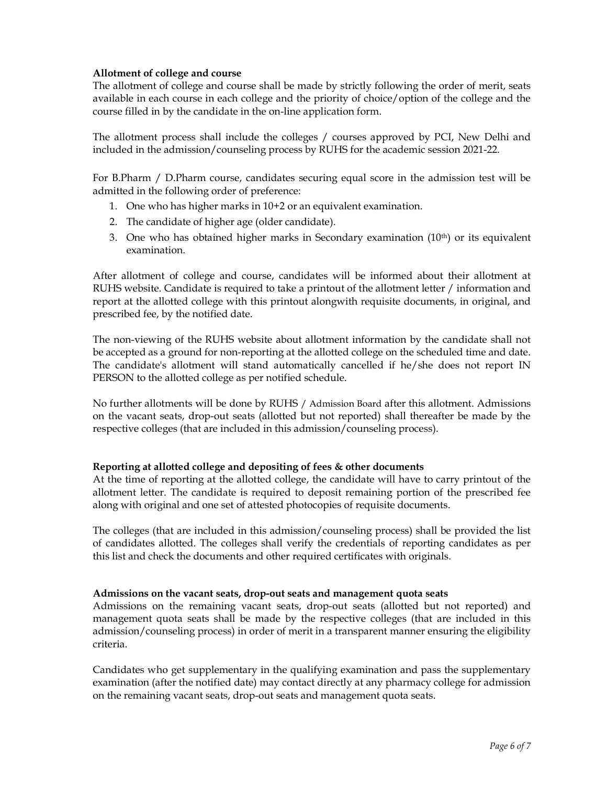#### Allotment of college and course

The allotment of college and course shall be made by strictly following the order of merit, seats available in each course in each college and the priority of choice/option of the college and the course filled in by the candidate in the on-line application form.

The allotment process shall include the colleges / courses approved by PCI, New Delhi and included in the admission/counseling process by RUHS for the academic session 2021-22.

For B.Pharm / D.Pharm course, candidates securing equal score in the admission test will be admitted in the following order of preference:

- 1. One who has higher marks in 10+2 or an equivalent examination.
- 2. The candidate of higher age (older candidate).
- 3. One who has obtained higher marks in Secondary examination (10<sup>th</sup>) or its equivalent examination.

After allotment of college and course, candidates will be informed about their allotment at RUHS website. Candidate is required to take a printout of the allotment letter / information and report at the allotted college with this printout alongwith requisite documents, in original, and prescribed fee, by the notified date.

The non-viewing of the RUHS website about allotment information by the candidate shall not be accepted as a ground for non-reporting at the allotted college on the scheduled time and date. The candidate's allotment will stand automatically cancelled if he/she does not report IN PERSON to the allotted college as per notified schedule.

No further allotments will be done by RUHS / Admission Board after this allotment. Admissions on the vacant seats, drop-out seats (allotted but not reported) shall thereafter be made by the respective colleges (that are included in this admission/counseling process).

## Reporting at allotted college and depositing of fees & other documents

At the time of reporting at the allotted college, the candidate will have to carry printout of the allotment letter. The candidate is required to deposit remaining portion of the prescribed fee along with original and one set of attested photocopies of requisite documents.

The colleges (that are included in this admission/counseling process) shall be provided the list of candidates allotted. The colleges shall verify the credentials of reporting candidates as per this list and check the documents and other required certificates with originals.

#### Admissions on the vacant seats, drop-out seats and management quota seats

Admissions on the remaining vacant seats, drop-out seats (allotted but not reported) and management quota seats shall be made by the respective colleges (that are included in this admission/counseling process) in order of merit in a transparent manner ensuring the eligibility criteria.

Candidates who get supplementary in the qualifying examination and pass the supplementary examination (after the notified date) may contact directly at any pharmacy college for admission on the remaining vacant seats, drop-out seats and management quota seats.